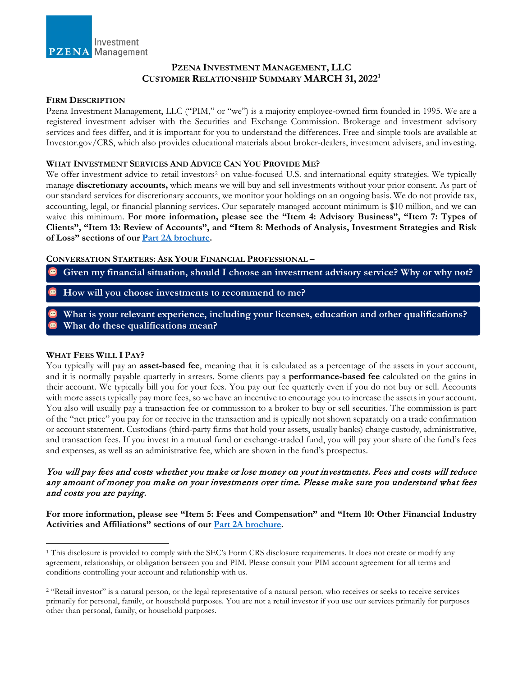

## **PZENA INVESTMENT MANAGEMENT, LLC CUSTOMER RELATIONSHIP SUMMARY MARCH 31, 2022[1](#page-0-0)**

### **FIRM DESCRIPTION**

Pzena Investment Management, LLC ("PIM," or "we") is a majority employee-owned firm founded in 1995. We are a registered investment adviser with the Securities and Exchange Commission. Brokerage and investment advisory services and fees differ, and it is important for you to understand the differences. Free and simple tools are available at Investor.gov/CRS, which also provides educational materials about broker-dealers, investment advisers, and investing.

#### **WHAT INVESTMENT SERVICES AND ADVICE CAN YOU PROVIDE ME?**

We offer investment advice to retail investors<sup>[2](#page-0-1)</sup> on value-focused U.S. and international equity strategies. We typically manage **discretionary accounts,** which means we will buy and sell investments without your prior consent. As part of our standard services for discretionary accounts, we monitor your holdings on an ongoing basis. We do not provide tax, accounting, legal, or financial planning services. Our separately managed account minimum is \$10 million, and we can waive this minimum. **For more information, please see the "Item 4: Advisory Business", "Item 7: Types of Clients", "Item 13: Review of Accounts", and "Item 8: Methods of Analysis, Investment Strategies and Risk of Loss" sections of our [Part 2A brochure.](https://www.pzena.com/wp-content/uploads/2022/03/Form-ADV-Part-2A-3-31-2022.pdf)** 

**CONVERSATION STARTERS: ASK YOUR FINANCIAL PROFESSIONAL –**

- **Given my financial situation, should I choose an investment advisory service? Why or why not?**
- **How will you choose investments to recommend to me?**
- **What is your relevant experience, including your licenses, education and other qualifications? What do these qualifications mean?**

### **WHAT FEES WILL I PAY?**

 $\overline{a}$ 

You typically will pay an **asset-based fee**, meaning that it is calculated as a percentage of the assets in your account, and it is normally payable quarterly in arrears. Some clients pay a **performance-based fee** calculated on the gains in their account. We typically bill you for your fees. You pay our fee quarterly even if you do not buy or sell. Accounts with more assets typically pay more fees, so we have an incentive to encourage you to increase the assets in your account. You also will usually pay a transaction fee or commission to a broker to buy or sell securities. The commission is part of the "net price" you pay for or receive in the transaction and is typically not shown separately on a trade confirmation or account statement. Custodians (third-party firms that hold your assets, usually banks) charge custody, administrative, and transaction fees. If you invest in a mutual fund or exchange-traded fund, you will pay your share of the fund's fees and expenses, as well as an administrative fee, which are shown in the fund's prospectus.

## You will pay fees and costs whether you make or lose money on your investments. Fees and costs will reduce any amount of money you make on your investments over time. Please make sure you understand what fees and costs you are paying.

**For more information, please see "Item 5: Fees and Compensation" and "Item 10: Other Financial Industry Activities and Affiliations" sections of our [Part 2A brochure.](https://www.pzena.com/wp-content/uploads/2022/03/Form-ADV-Part-2A-3-31-2022.pdf)** 

<span id="page-0-0"></span><sup>1</sup> This disclosure is provided to comply with the SEC's Form CRS disclosure requirements. It does not create or modify any agreement, relationship, or obligation between you and PIM. Please consult your PIM account agreement for all terms and conditions controlling your account and relationship with us.

<span id="page-0-1"></span><sup>&</sup>lt;sup>2</sup> "Retail investor" is a natural person, or the legal representative of a natural person, who receives or seeks to receive services primarily for personal, family, or household purposes. You are not a retail investor if you use our services primarily for purposes other than personal, family, or household purposes*.*